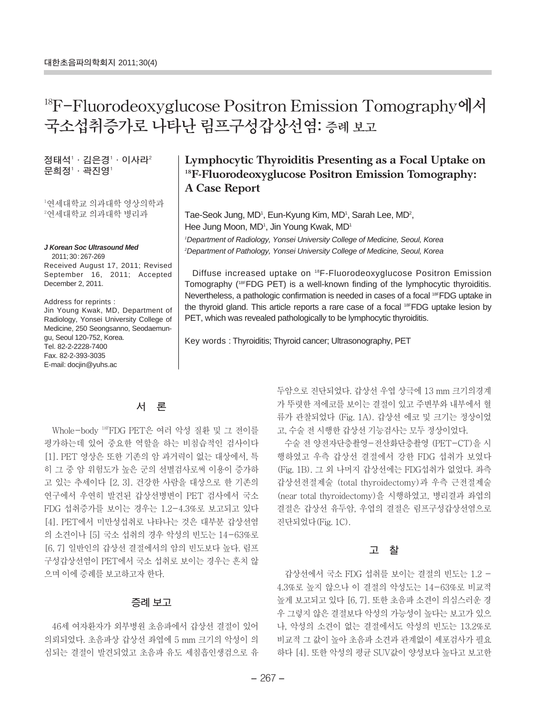# **18F-Fluorodeoxyglucose Positron Emission Tomography에서 국소섭취증가로 나타난 림프구성갑상선염: 증례 보고**

정태석'ㆍ김은경'ㆍ이사라<sup>2</sup> 문희정'ㆍ곽진영'

1 연세대학교 의과대학 영상의학과 2 연세대학교 의과대학 병리과

**J Korean Soc Ultrasound Med** 2011; 30: 267-269 Received August 17, 2011; Revised September 16, 2011; Accepted

December 2, 2011.

Address for reprints : Jin Young Kwak, MD, Department of Radiology, Yonsei University College of Medicine, 250 Seongsanno, Seodaemungu, Seoul 120-752, Korea. Tel. 82-2-2228-7400 Fax. 82-2-393-3035 E-mail: docjin@yuhs.ac

## **Lymphocytic Thyroiditis Presenting as a Focal Uptake on 18F-Fluorodeoxyglucose Positron Emission Tomography: A Case Report**

Tae-Seok Jung, MD<sup>1</sup>, Eun-Kyung Kim, MD<sup>1</sup>, Sarah Lee, MD<sup>2</sup>, Hee Jung Moon, MD<sup>1</sup>, Jin Young Kwak, MD<sup>1</sup> 1 Department of Radiology, Yonsei University College of Medicine, Seoul, Korea

2 Department of Pathology, Yonsei University College of Medicine, Seoul, Korea

Diffuse increased uptake on 18F-Fluorodeoxyglucose Positron Emission Tomography (18FFDG PET) is a well-known finding of the lymphocytic thyroiditis. Nevertheless, a pathologic confirmation is needed in cases of a focal 18FFDG uptake in the thyroid gland. This article reports a rare case of a focal 18FFDG uptake lesion by PET, which was revealed pathologically to be lymphocytic thyroiditis.

Key words : Thyroiditis; Thyroid cancer; Ultrasonography, PET

### **서 론**

Whole-body 18FFDG PET은 여러 악성 질환 및 그 전이를 평가하는데 있어 중요한 역할을 하는 비침습적인 검사이다 [1]. PET 영상은 또한 기존의 암 과거력이 없는 대상에서, 특 히 그 중 암 위험도가 높은 군의 선별검사로써 이용이 증가하 고 있는 추세이다 [2, 3]. 건강한 사람을 대상으로 한 기존의 연구에서 우연히 발견된 갑상선병변이 PET 검사에서 국소 FDG 섭취증가를 보이는 경우는 1.2-4.3%로 보고되고 있다 [4]. PET에서 미만성섭취로 나타나는 것은 대부분 갑상선염 의 소견이나 [5] 국소 섭취의 경우 악성의 빈도는 14-63%로 [6, 7] 일반인의 갑상선 결절에서의 암의 빈도보다 높다. 림프 구성갑상선염이 PET에서 국소 섭취로 보이는 경우는 흔치 않 으며 이에 증례를 보고하고자 한다.

#### **증례 보고**

46세 여자환자가 외부병원 초음파에서 갑상선 결절이 있어 의뢰되었다. 초음파상 갑상선 좌엽에 5 mm 크기의 악성이 의 심되는 결절이 발견되었고 초음파 유도 세침흡인생검으로 유 두암으로 진단되었다. 갑상선 우엽 상극에 13 mm 크기의경계 가 뚜렷한 저에코를 보이는 결절이 있고 주변부와 내부에서 혈 류가 관찰되었다 (Fig. 1A). 갑상선 에코 및 크기는 정상이었 고, 수술 전 시행한 갑상선 기능검사는 모두 정상이었다.

수술 전 양전자단층촬영-전산화단층촬영 (PET-CT)을 시 행하였고 우측 갑상선 결절에서 강한 FDG 섭취가 보였다 (Fig. 1B). 그 외 나머지 갑상선에는 FDG섭취가 없었다. 좌측 갑상선전절제술 (total thyroidectomy)과 우측 근전절제술 (near total thyroidectomy)을 시행하였고, 병리결과 좌엽의 결절은 갑상선 유두암, 우엽의 결절은 림프구성갑상선염으로 진단되었다(Fig. 1C).

#### **고 찰**

갑상선에서 국소 FDG 섭취를 보이는 결절의 빈도는 1.2 - 4.3%로 높지 않으나 이 결절의 악성도는 14-63%로 비교적 높게 보고되고 있다 [6, 7]. 또한 초음파 소견이 의심스러운 경 우 그렇지 않은 결절보다 악성의 가능성이 높다는 보고가 있으 나, 악성의 소견이 없는 결절에서도 악성의 빈도는 13.2%로 비교적 그 값이 높아 초음파 소견과 관계없이 세포검사가 필요 하다 [4]. 또한 악성의 평균 SUV값이 양성보다 높다고 보고한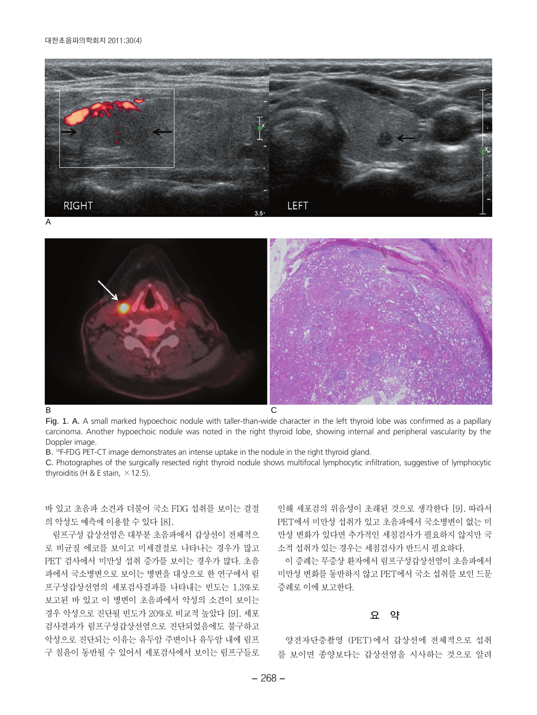#### 대한초음파의학회지 2011;30(4)



A





Fig. 1. A. A small marked hypoechoic nodule with taller-than-wide character in the left thyroid lobe was confirmed as a papillary carcinoma. Another hypoechoic nodule was noted in the right thyroid lobe, showing internal and peripheral vascularity by the Doppler image.

B. <sup>18</sup>F-FDG PET-CT image demonstrates an intense uptake in the nodule in the right thyroid gland.

C. Photographes of the surgically resected right thyroid nodule shows multifocal lymphocytic infiltration, suggestive of lymphocytic thyroiditis (H & E stain,  $\times$  12.5).

바 있고 초음파 소견과 더불어 국소 FDG 섭취를 보이는 결절 의 악성도 예측에 이용할 수 있다 [8].

림프구성 갑상선염은 대부분 초음파에서 갑상선이 전체적으 로 비균질 에코를 보이고 미세결절로 나타나는 경우가 많고 PET 검사에서 미만성 섭취 증가를 보이는 경우가 많다. 초음 파에서 국소병변으로 보이는 병변을 대상으로 한 연구에서 림 프구성갑상선염의 세포검사결과를 나타내는 빈도는 1.3%로 보고된 바 있고 이 병변이 초음파에서 악성의 소견이 보이는 경우 악성으로 진단될 빈도가 20%로 비교적 높았다 [9]. 세포 검사결과가 림프구성갑상선염으로 진단되었음에도 불구하고 악성으로 진단되는 이유는 유두암 주변이나 유두암 내에 림프 구 침윤이 동반될 수 있어서 세포검사에서 보이는 림프구들로

인해 세포검의 위음성이 초래된 것으로 생각한다 [9]. 따라서 PET에서 미만성 섭취가 있고 초음파에서 국소병변이 없는 미 만성 변화가 있다면 추가적인 세침검사가 필요하지 않지만 국 소적 섭취가 있는 경우는 세침검사가 반드시 필요하다.

이 증례는 무증상 환자에서 림프구성갑상선염이 초음파에서 미만성 변화를 동반하지 않고 PET에서 국소 섭취를 보인 드문 증례로 이에 보고한다.

#### **요 약**

양전자단층촬영 (PET)에서 갑상선에 전체적으로 섭취 를 보이면 종양보다는 갑상선염을 시사하는 것으로 알려